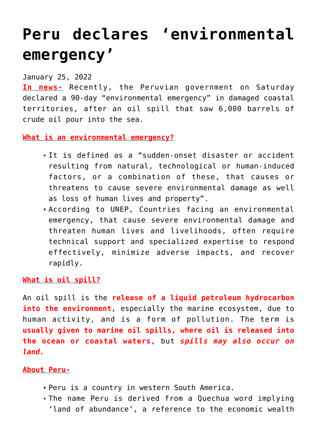## **[Peru declares 'environmental](https://journalsofindia.com/peru-declares-environmental-emergency/) [emergency'](https://journalsofindia.com/peru-declares-environmental-emergency/)**

January 25, 2022

**In news-** Recently, the Peruvian government on Saturday declared a 90-day "environmental emergency" in damaged coastal territories, after an oil spill that saw 6,000 barrels of crude oil pour into the sea.

**What is an environmental emergency?**

- It is defined as a "sudden-onset disaster or accident resulting from natural, technological or human-induced factors, or a combination of these, that causes or threatens to cause severe environmental damage as well as loss of human lives and property".
- According to UNEP, Countries facing an environmental emergency, that cause severe environmental damage and threaten human lives and livelihoods, often require technical support and specialized expertise to respond effectively, minimize adverse impacts, and recover rapidly.

**What is oil spill?**

An oil spill is the **release of a liquid petroleum hydrocarbon** into the environment, especially the marine ecosystem, due to human activity, and is a form of pollution. The term is **usually given to marine oil spills, where oil is released into the ocean or coastal waters**, but *spills may also occur on land.*

## **About Peru-**

- Peru is a country in western South America.
- The name Peru is derived from a Quechua word implying 'land of abundance', a reference to the economic wealth